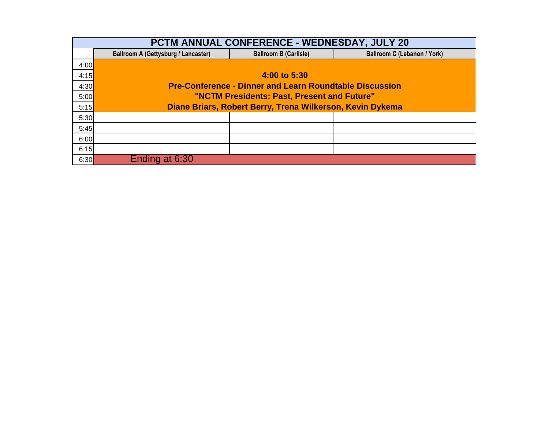| <b>PCTM ANNUAL CONFERENCE - WEDNESDAY, JULY 20</b> |                                                                |                                    |  |  |  |  |  |  |  |  |
|----------------------------------------------------|----------------------------------------------------------------|------------------------------------|--|--|--|--|--|--|--|--|
|                                                    | <b>Ballroom A (Gettysburg / Lancaster)</b>                     | <b>Ballroom C (Lebanon / York)</b> |  |  |  |  |  |  |  |  |
| 4:00                                               |                                                                |                                    |  |  |  |  |  |  |  |  |
| 4:15                                               |                                                                | 4:00 to 5:30                       |  |  |  |  |  |  |  |  |
| 4:30                                               | <b>Pre-Conference - Dinner and Learn Roundtable Discussion</b> |                                    |  |  |  |  |  |  |  |  |
| 5:00                                               | "NCTM Presidents: Past, Present and Future"                    |                                    |  |  |  |  |  |  |  |  |
| 5:15                                               | Diane Briars, Robert Berry, Trena Wilkerson, Kevin Dykema      |                                    |  |  |  |  |  |  |  |  |
| 5:30                                               |                                                                |                                    |  |  |  |  |  |  |  |  |
| 5:45                                               |                                                                |                                    |  |  |  |  |  |  |  |  |
| 6:00                                               |                                                                |                                    |  |  |  |  |  |  |  |  |
| 6:15                                               |                                                                |                                    |  |  |  |  |  |  |  |  |
| 6:30                                               | Ending at 6:30                                                 |                                    |  |  |  |  |  |  |  |  |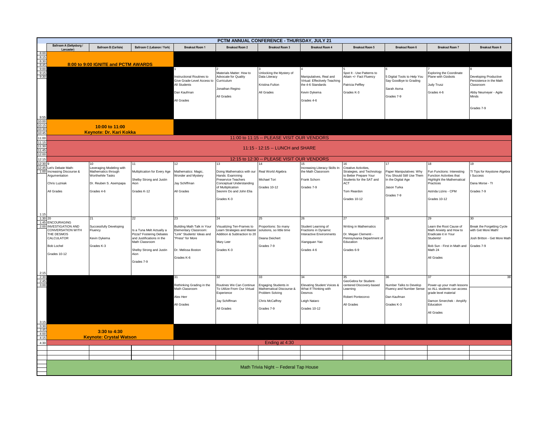|                                                                             | PCTM ANNUAL CONFERENCE - THURSDAY, JULY 21                                                                                       |                                                                                                                   |                                                                                                                                                        |                                                                                                                                        |                                                                                                                                                                       |                                                                                        |                                                                                                             |                                                                                                                                                       |                                                                                                          |                                                                                                                                                        |                                                                                                               |
|-----------------------------------------------------------------------------|----------------------------------------------------------------------------------------------------------------------------------|-------------------------------------------------------------------------------------------------------------------|--------------------------------------------------------------------------------------------------------------------------------------------------------|----------------------------------------------------------------------------------------------------------------------------------------|-----------------------------------------------------------------------------------------------------------------------------------------------------------------------|----------------------------------------------------------------------------------------|-------------------------------------------------------------------------------------------------------------|-------------------------------------------------------------------------------------------------------------------------------------------------------|----------------------------------------------------------------------------------------------------------|--------------------------------------------------------------------------------------------------------------------------------------------------------|---------------------------------------------------------------------------------------------------------------|
|                                                                             | Ballroom A (Gettysburg /<br>Lancaste                                                                                             | <b>Ballroom B (Carlisle)</b>                                                                                      | Ballroom C (Lebanon / York)                                                                                                                            | <b>Breakout Room 1</b>                                                                                                                 | <b>Breakout Room 2</b>                                                                                                                                                | <b>Breakout Room 3</b>                                                                 | <b>Breakout Room 4</b>                                                                                      | <b>Breakout Room 5</b>                                                                                                                                | <b>Breakout Room 6</b>                                                                                   | <b>Breakout Room 7</b>                                                                                                                                 | <b>Breakout Room 8</b>                                                                                        |
| 8:00<br>8:15<br>8:30<br>8:45<br>9:00<br>9:15<br>9:30                        |                                                                                                                                  | 8:00 to 9:00 IGNITE and PCTM AWARDS                                                                               |                                                                                                                                                        |                                                                                                                                        |                                                                                                                                                                       |                                                                                        |                                                                                                             |                                                                                                                                                       |                                                                                                          |                                                                                                                                                        |                                                                                                               |
|                                                                             |                                                                                                                                  |                                                                                                                   |                                                                                                                                                        | nstructional Routines to<br>Give Grade-Level Access to<br>All Students<br>Dan Kaufman<br>All Grades                                    | Materials Matter: How to<br>Advocate for Quality<br>Curriculum<br>Jonathan Regino<br>All Grades                                                                       | Jnlocking the Mystery of<br>Data Literacy<br>Kristina Fulton<br>All Grades             | Manipulatives, Real and<br>Virtual: Effectively Teaching<br>the 4-6 Standards<br>Kevin Dykema<br>Grades 4-6 | Spot It - Use Patterns to<br>Attain +/- Fact Fluency<br>Patricia Peffley<br>Grades K-3                                                                | 5 Digital Tools to Help You<br>Say Goodbye to Grading<br>Sarah Asma<br>Grades 7-9                        | <b>Exploring the Coordinate</b><br>Plane with Ozobots<br>Judy Trusz<br>Grades 4-6                                                                      | Developing Productive<br>Persistence in the Math<br>Classroom<br>Abby Neumeyer - Agile<br>Minds<br>Grades 7-9 |
| 9:55<br>$\frac{10:00}{10:15}$ $\frac{10:30}{10:45}$                         |                                                                                                                                  | 10:00 to 11:00<br>Keynote: Dr. Kari Kokka                                                                         |                                                                                                                                                        |                                                                                                                                        |                                                                                                                                                                       |                                                                                        |                                                                                                             |                                                                                                                                                       |                                                                                                          |                                                                                                                                                        |                                                                                                               |
| 11:00                                                                       |                                                                                                                                  |                                                                                                                   |                                                                                                                                                        |                                                                                                                                        |                                                                                                                                                                       |                                                                                        |                                                                                                             |                                                                                                                                                       |                                                                                                          |                                                                                                                                                        |                                                                                                               |
| 11:15<br>11:30<br>11:45<br>12:00                                            | 11:00 to 11:15 -- PLEASE VISIT OUR VENDORS<br>11:15 - 12:15 -- LUNCH and SHARE                                                   |                                                                                                                   |                                                                                                                                                        |                                                                                                                                        |                                                                                                                                                                       |                                                                                        |                                                                                                             |                                                                                                                                                       |                                                                                                          |                                                                                                                                                        |                                                                                                               |
| 12:15                                                                       |                                                                                                                                  |                                                                                                                   |                                                                                                                                                        |                                                                                                                                        |                                                                                                                                                                       | 12:15 to 12:30 -- PLEASE VISIT OUR VENDORS                                             |                                                                                                             |                                                                                                                                                       |                                                                                                          |                                                                                                                                                        |                                                                                                               |
| 12:30<br>12:45<br>1:00                                                      | et's Debate Math:<br>Increasing Discourse &<br>Argumentation<br>Chris Luzniak<br>All Grades                                      | everaging Modeling with<br>Mathematics through<br><b>Worthwhile Tasks</b><br>Dr. Reuben S. Asempapa<br>Grades 4-6 | Multiplication for Every Age<br>Shelby Strong and Justin<br>Aion<br>Grades K-12                                                                        | 12<br>Mathematics: Magic,<br>Wonder and Mystery<br>Jay Schiffman<br>All Grades                                                         | 13<br>Doing Mathematics with our<br>Hands: Examining<br>Preservice Teachers<br>Conceptual Understanding<br>of Multiplication<br>Seonmi Do and John Elia<br>Grades K-3 | Real World Algebra<br>Michael Tori<br>Grades 10-12                                     | Increasing Literacy Skills In<br>he Math Classroom<br>Frank Schorn<br>Grades 7-9                            | Creative Activities,<br>Strategies, and Technology<br>to Better Prepare Your<br>Students for the SAT and<br><b>ACT</b><br>Tom Reardon<br>Grades 10-12 | Paper Manipulatives: Why<br>You Should Still Use Them<br>In the Digital Age<br>lason Turka<br>Grades 7-9 | 18<br>Fun Functions: Interesting<br>Function Activities that<br><b>Highlight the Mathematical</b><br>Practices<br>Astrida Lizins - CPM<br>Grades 10-12 | TI Tips for Keystone Algebra<br><b>Success</b><br>Dana Morse - TI<br>Grades 7-9                               |
| 1:15<br>1:30<br>20                                                          |                                                                                                                                  | 21                                                                                                                | 22                                                                                                                                                     | 23                                                                                                                                     | 24                                                                                                                                                                    | 25                                                                                     | 26                                                                                                          | 27                                                                                                                                                    | 28                                                                                                       | 29                                                                                                                                                     |                                                                                                               |
|                                                                             | 1:45 ENCOURAGING<br>2:00 INVESTIGATION AND<br>CONVERSATION WITH<br>THE DESMOS<br>CALCULATOR<br><b>Bob Lochel</b><br>Grades 10-12 | Successfully Developing<br>Fluency<br>Kevin Dykema<br>Grades K-3                                                  | Is a Tuna Melt Actually a<br>Pizza? Fostering Debates<br>and Justifications in the<br>Math Classroom<br>Shelby Strong and Justin<br>Aion<br>Grades 7-9 | Building Math Talk in Your<br>lementary Classroom:<br>Link" Students' Ideas and<br>Press" for More<br>Dr. Melissa Boston<br>Grades K-6 | Visualizing Ten-Frames to<br>Learn Strategies and Master<br>Addition & Subtraction to 20<br>Mary Leer<br>Grades K-3                                                   | roportions: So many<br>solutions, so little time<br>eana Deichert<br>Grades 7-9        | Student Learning of<br>Fractions in Dynamic<br>Interactive Environments<br>Kiangquan Yao<br>Grades 4-6      | Writing in Mathematics<br>Dr. Megan Clementi -<br>Pennsylvania Department of<br>Education<br>Grades 6-9                                               |                                                                                                          | Learn the Root Cause of<br>Math Anxiety and How to<br>Eradicate it in Your<br>Students!<br>Bob Sun - First in Math and<br>Math 24<br>All Grades        | Break the Forgetting Cycle<br>with Get More Math!<br>Josh Britton - Get More Math<br>Grades 7-9               |
| $2:15$<br>2:30<br>2:45<br>3:00                                              |                                                                                                                                  |                                                                                                                   |                                                                                                                                                        | 31<br>Rethinking Grading in the<br>Math Classroom<br>Alex Herr                                                                         | 32<br>Routines We Can Continue<br>To Utilize From Our Virtual<br>Experience<br>Jay Schiffman                                                                          | Ingaging Students in<br>Mathematical Discourse &<br>Problem Solving<br>Chris McCaffrey | Elevating Student Voices &<br>What If Thinking with<br>Desmos<br>Leigh Nataro                               | 35<br>GeoGebra for Student-<br>centered Discovery-based<br>Learning<br>Robert Pontecorvo                                                              | <b>Jumber Talks to Develop</b><br>Fluency and Number Sense<br>Dan Kaufman                                | ower-up your math lessons<br>so ALL students can access<br>grade level material<br>Damon Smerchek - Amplify<br>Education                               |                                                                                                               |
|                                                                             |                                                                                                                                  |                                                                                                                   |                                                                                                                                                        | All Grades                                                                                                                             | All Grades                                                                                                                                                            | Grades 7-9                                                                             | Grades 10-12                                                                                                | All Grades                                                                                                                                            | Grades K-3                                                                                               | All Grades                                                                                                                                             |                                                                                                               |
|                                                                             |                                                                                                                                  | 3:30 to 4:30<br><b>Keynote: Crystal Watson</b>                                                                    |                                                                                                                                                        |                                                                                                                                        |                                                                                                                                                                       |                                                                                        |                                                                                                             |                                                                                                                                                       |                                                                                                          |                                                                                                                                                        |                                                                                                               |
| $\begin{array}{r} 3:15 \\ 3:30 \\ 3:45 \\ 4:00 \\ 4:15 \end{array}$<br>4:30 |                                                                                                                                  |                                                                                                                   |                                                                                                                                                        |                                                                                                                                        |                                                                                                                                                                       | Ending at 4:30                                                                         |                                                                                                             |                                                                                                                                                       |                                                                                                          |                                                                                                                                                        |                                                                                                               |